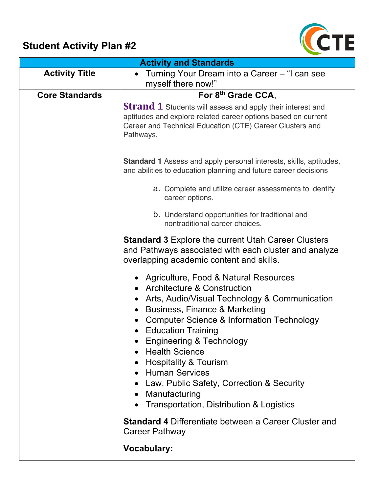## **Student Activity Plan #2**



| <b>Activity and Standards</b> |                                                                                                                                                                                                                                                                                                                                                                                                                                                                                                                           |
|-------------------------------|---------------------------------------------------------------------------------------------------------------------------------------------------------------------------------------------------------------------------------------------------------------------------------------------------------------------------------------------------------------------------------------------------------------------------------------------------------------------------------------------------------------------------|
| <b>Activity Title</b>         | Turning Your Dream into a Career – "I can see<br>$\bullet$<br>myself there now!"                                                                                                                                                                                                                                                                                                                                                                                                                                          |
| <b>Core Standards</b>         | For 8th Grade CCA.                                                                                                                                                                                                                                                                                                                                                                                                                                                                                                        |
|                               | <b>Strand 1</b> Students will assess and apply their interest and<br>aptitudes and explore related career options based on current<br>Career and Technical Education (CTE) Career Clusters and<br>Pathways.                                                                                                                                                                                                                                                                                                               |
|                               | Standard 1 Assess and apply personal interests, skills, aptitudes,<br>and abilities to education planning and future career decisions                                                                                                                                                                                                                                                                                                                                                                                     |
|                               | a. Complete and utilize career assessments to identify<br>career options.                                                                                                                                                                                                                                                                                                                                                                                                                                                 |
|                               | <b>b.</b> Understand opportunities for traditional and<br>nontraditional career choices.                                                                                                                                                                                                                                                                                                                                                                                                                                  |
|                               | <b>Standard 3 Explore the current Utah Career Clusters</b><br>and Pathways associated with each cluster and analyze<br>overlapping academic content and skills.                                                                                                                                                                                                                                                                                                                                                           |
|                               | Agriculture, Food & Natural Resources<br><b>Architecture &amp; Construction</b><br>Arts, Audio/Visual Technology & Communication<br>Business, Finance & Marketing<br>$\bullet$<br>Computer Science & Information Technology<br><b>Education Training</b><br>$\bullet$<br><b>Engineering &amp; Technology</b><br><b>Health Science</b><br><b>Hospitality &amp; Tourism</b><br><b>Human Services</b><br>Law, Public Safety, Correction & Security<br>Manufacturing<br>$\bullet$<br>Transportation, Distribution & Logistics |
|                               | <b>Standard 4 Differentiate between a Career Cluster and</b><br><b>Career Pathway</b>                                                                                                                                                                                                                                                                                                                                                                                                                                     |
|                               | <b>Vocabulary:</b>                                                                                                                                                                                                                                                                                                                                                                                                                                                                                                        |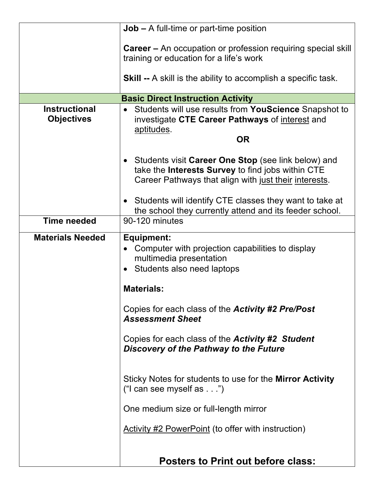|                                           | $Job - A full-time or part-time position$                                                                                                                                      |
|-------------------------------------------|--------------------------------------------------------------------------------------------------------------------------------------------------------------------------------|
|                                           | <b>Career</b> – An occupation or profession requiring special skill<br>training or education for a life's work                                                                 |
|                                           | <b>Skill --</b> A skill is the ability to accomplish a specific task.                                                                                                          |
|                                           | <b>Basic Direct Instruction Activity</b>                                                                                                                                       |
| <b>Instructional</b><br><b>Objectives</b> | Students will use results from YouScience Snapshot to<br>investigate CTE Career Pathways of interest and<br>aptitudes.                                                         |
|                                           | <b>OR</b>                                                                                                                                                                      |
|                                           | Students visit Career One Stop (see link below) and<br>$\bullet$<br>take the Interests Survey to find jobs within CTE<br>Career Pathways that align with just their interests. |
| <b>Time needed</b>                        | • Students will identify CTE classes they want to take at<br>the school they currently attend and its feeder school.<br>90-120 minutes                                         |
|                                           |                                                                                                                                                                                |
| <b>Materials Needed</b>                   | <b>Equipment:</b><br>Computer with projection capabilities to display<br>multimedia presentation<br>• Students also need laptops                                               |
|                                           | <b>Materials:</b>                                                                                                                                                              |
|                                           | Copies for each class of the Activity #2 Pre/Post<br><b>Assessment Sheet</b>                                                                                                   |
|                                           | Copies for each class of the <b>Activity #2 Student</b><br>Discovery of the Pathway to the Future                                                                              |
|                                           | Sticky Notes for students to use for the Mirror Activity<br>("I can see myself as $\dots$ ")                                                                                   |
|                                           | One medium size or full-length mirror                                                                                                                                          |
|                                           | <b>Activity #2 PowerPoint (to offer with instruction)</b>                                                                                                                      |
|                                           | <b>Posters to Print out before class:</b>                                                                                                                                      |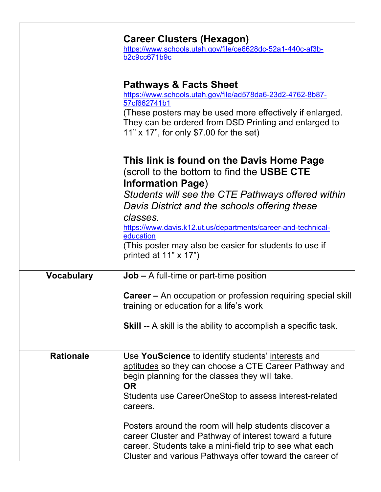|                   | <b>Career Clusters (Hexagon)</b><br>https://www.schools.utah.gov/file/ce6628dc-52a1-440c-af3b-<br>b2c9cc671b9c                                                                                                                                                                  |
|-------------------|---------------------------------------------------------------------------------------------------------------------------------------------------------------------------------------------------------------------------------------------------------------------------------|
|                   | <b>Pathways &amp; Facts Sheet</b><br>https://www.schools.utah.gov/file/ad578da6-23d2-4762-8b87-<br>57cf662741b1<br>(These posters may be used more effectively if enlarged.<br>They can be ordered from DSD Printing and enlarged to<br>11" x 17", for only \$7.00 for the set) |
|                   | This link is found on the Davis Home Page<br>(scroll to the bottom to find the USBE CTE<br><b>Information Page)</b>                                                                                                                                                             |
|                   | Students will see the CTE Pathways offered within<br>Davis District and the schools offering these                                                                                                                                                                              |
|                   | classes.<br>https://www.davis.k12.ut.us/departments/career-and-technical-<br>education                                                                                                                                                                                          |
|                   | (This poster may also be easier for students to use if<br>printed at $11" \times 17"$                                                                                                                                                                                           |
| <b>Vocabulary</b> | $Job - A full-time or part-time position$                                                                                                                                                                                                                                       |
|                   | <b>Career</b> – An occupation or profession requiring special skill<br>training or education for a life's work                                                                                                                                                                  |
|                   | <b>Skill --</b> A skill is the ability to accomplish a specific task.                                                                                                                                                                                                           |
| <b>Rationale</b>  | Use YouScience to identify students' interests and<br>aptitudes so they can choose a CTE Career Pathway and<br>begin planning for the classes they will take.<br><b>OR</b>                                                                                                      |
|                   | Students use CareerOneStop to assess interest-related<br>careers.                                                                                                                                                                                                               |
|                   | Posters around the room will help students discover a<br>career Cluster and Pathway of interest toward a future<br>career. Students take a mini-field trip to see what each<br>Cluster and various Pathways offer toward the career of                                          |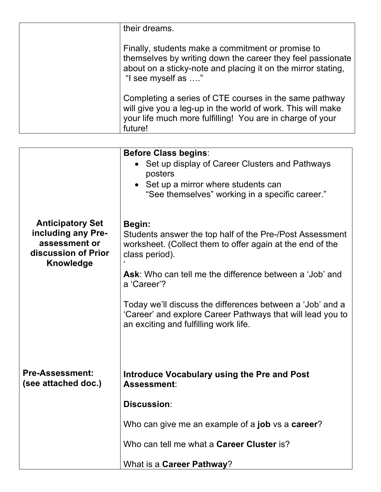| their dreams.                                                                                                                                                                                         |
|-------------------------------------------------------------------------------------------------------------------------------------------------------------------------------------------------------|
| Finally, students make a commitment or promise to<br>themselves by writing down the career they feel passionate<br>about on a sticky-note and placing it on the mirror stating,<br>"I see myself as " |
| Completing a series of CTE courses in the same pathway<br>will give you a leg-up in the world of work. This will make<br>your life much more fulfilling! You are in charge of your<br>future!         |

|                                                                                                           | <b>Before Class begins:</b><br>Set up display of Career Clusters and Pathways<br>posters<br>• Set up a mirror where students can<br>"See themselves" working in a specific career." |
|-----------------------------------------------------------------------------------------------------------|-------------------------------------------------------------------------------------------------------------------------------------------------------------------------------------|
| <b>Anticipatory Set</b><br>including any Pre-<br>assessment or<br>discussion of Prior<br><b>Knowledge</b> | <b>Begin:</b><br>Students answer the top half of the Pre-/Post Assessment<br>worksheet. (Collect them to offer again at the end of the<br>class period).                            |
|                                                                                                           | Ask: Who can tell me the difference between a 'Job' and<br>a 'Career'?                                                                                                              |
|                                                                                                           | Today we'll discuss the differences between a 'Job' and a<br>'Career' and explore Career Pathways that will lead you to<br>an exciting and fulfilling work life.                    |
| <b>Pre-Assessment:</b><br>(see attached doc.)                                                             | <b>Introduce Vocabulary using the Pre and Post</b><br>Assessment:                                                                                                                   |
|                                                                                                           | <b>Discussion:</b>                                                                                                                                                                  |
|                                                                                                           | Who can give me an example of a job vs a career?                                                                                                                                    |
|                                                                                                           | Who can tell me what a Career Cluster is?                                                                                                                                           |
|                                                                                                           | What is a Career Pathway?                                                                                                                                                           |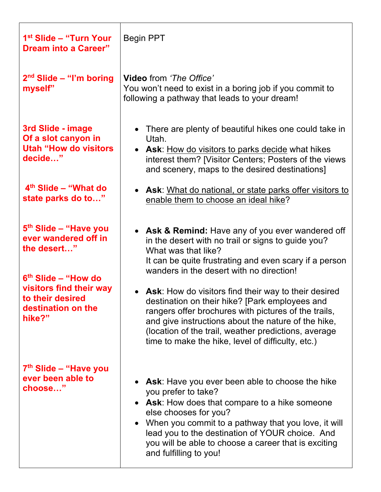| 1 <sup>st</sup> Slide – "Turn Your<br><b>Dream into a Career"</b>                                                                                                                          | <b>Begin PPT</b>                                                                                                                                                                                                                                                                                                                                                                                                                                                                                                                                                             |
|--------------------------------------------------------------------------------------------------------------------------------------------------------------------------------------------|------------------------------------------------------------------------------------------------------------------------------------------------------------------------------------------------------------------------------------------------------------------------------------------------------------------------------------------------------------------------------------------------------------------------------------------------------------------------------------------------------------------------------------------------------------------------------|
| $2nd$ Slide – "I'm boring<br>myself"                                                                                                                                                       | <b>Video</b> from 'The Office'<br>You won't need to exist in a boring job if you commit to<br>following a pathway that leads to your dream!                                                                                                                                                                                                                                                                                                                                                                                                                                  |
| 3rd Slide - image<br>Of a slot canyon in<br><b>Utah "How do visitors</b><br>decide"                                                                                                        | • There are plenty of beautiful hikes one could take in<br>Utah.<br>• Ask: How do visitors to parks decide what hikes<br>interest them? [Visitor Centers; Posters of the views<br>and scenery, maps to the desired destinations]                                                                                                                                                                                                                                                                                                                                             |
| $4th$ Slide – "What do<br>state parks do to"                                                                                                                                               | <b>Ask:</b> What do national, or state parks offer visitors to<br>$\bullet$<br>enable them to choose an ideal hike?                                                                                                                                                                                                                                                                                                                                                                                                                                                          |
| 5 <sup>th</sup> Slide - "Have you<br>ever wandered off in<br>the desert"<br>6 <sup>th</sup> Slide – "How do<br>visitors find their way<br>to their desired<br>destination on the<br>hike?" | • Ask & Remind: Have any of you ever wandered off<br>in the desert with no trail or signs to guide you?<br>What was that like?<br>It can be quite frustrating and even scary if a person<br>wanders in the desert with no direction!<br>• Ask: How do visitors find their way to their desired<br>destination on their hike? [Park employees and<br>rangers offer brochures with pictures of the trails,<br>and give instructions about the nature of the hike,<br>(location of the trail, weather predictions, average<br>time to make the hike, level of difficulty, etc.) |
| 7 <sup>th</sup> Slide – "Have you<br>ever been able to<br>choose"                                                                                                                          | Ask: Have you ever been able to choose the hike<br>you prefer to take?<br><b>Ask:</b> How does that compare to a hike someone<br>else chooses for you?<br>• When you commit to a pathway that you love, it will<br>lead you to the destination of YOUR choice. And<br>you will be able to choose a career that is exciting<br>and fulfilling to you!                                                                                                                                                                                                                         |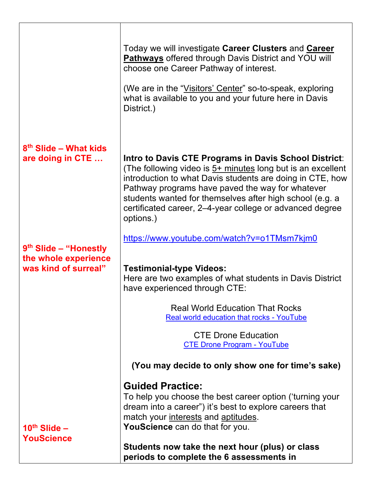|                                                                         | Today we will investigate Career Clusters and Career<br><b>Pathways</b> offered through Davis District and YOU will<br>choose one Career Pathway of interest.<br>(We are in the "Visitors' Center" so-to-speak, exploring<br>what is available to you and your future here in Davis<br>District.)                                                                            |
|-------------------------------------------------------------------------|------------------------------------------------------------------------------------------------------------------------------------------------------------------------------------------------------------------------------------------------------------------------------------------------------------------------------------------------------------------------------|
| 8 <sup>th</sup> Slide – What kids<br>are doing in CTE                   | Intro to Davis CTE Programs in Davis School District:<br>(The following video is $5+$ minutes long but is an excellent<br>introduction to what Davis students are doing in CTE, how<br>Pathway programs have paved the way for whatever<br>students wanted for themselves after high school (e.g. a<br>certificated career, 2-4-year college or advanced degree<br>options.) |
| $9th$ Slide – "Honestly<br>the whole experience<br>was kind of surreal" | https://www.youtube.com/watch?v=o1TMsm7kjm0<br><b>Testimonial-type Videos:</b><br>Here are two examples of what students in Davis District                                                                                                                                                                                                                                   |
|                                                                         | have experienced through CTE:<br><b>Real World Education That Rocks</b><br><b>Real world education that rocks - YouTube</b><br><b>CTE Drone Education</b>                                                                                                                                                                                                                    |
|                                                                         | <b>CTE Drone Program - YouTube</b><br>(You may decide to only show one for time's sake)<br><b>Guided Practice:</b>                                                                                                                                                                                                                                                           |
| $10^{\text{th}}$ Slide $-$                                              | To help you choose the best career option ('turning your<br>dream into a career") it's best to explore careers that<br>match your interests and aptitudes.<br>YouScience can do that for you.                                                                                                                                                                                |
| <b>YouScience</b>                                                       | Students now take the next hour (plus) or class<br>periods to complete the 6 assessments in                                                                                                                                                                                                                                                                                  |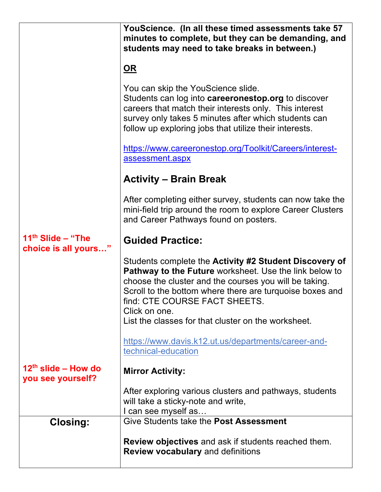|                                             | YouScience. (In all these timed assessments take 57<br>minutes to complete, but they can be demanding, and<br>students may need to take breaks in between.)                                                                                                                              |
|---------------------------------------------|------------------------------------------------------------------------------------------------------------------------------------------------------------------------------------------------------------------------------------------------------------------------------------------|
|                                             | $\underline{\mathsf{OR}}$                                                                                                                                                                                                                                                                |
|                                             | You can skip the YouScience slide.<br>Students can log into <b>careeronestop.org</b> to discover<br>careers that match their interests only. This interest<br>survey only takes 5 minutes after which students can<br>follow up exploring jobs that utilize their interests.             |
|                                             | https://www.careeronestop.org/Toolkit/Careers/interest-<br>assessment.aspx                                                                                                                                                                                                               |
|                                             | <b>Activity – Brain Break</b>                                                                                                                                                                                                                                                            |
|                                             | After completing either survey, students can now take the<br>mini-field trip around the room to explore Career Clusters<br>and Career Pathways found on posters.                                                                                                                         |
| $11th$ Slide – "The<br>choice is all yours" | <b>Guided Practice:</b>                                                                                                                                                                                                                                                                  |
|                                             | Students complete the Activity #2 Student Discovery of<br>Pathway to the Future worksheet. Use the link below to<br>choose the cluster and the courses you will be taking.<br>Scroll to the bottom where there are turquoise boxes and<br>find: CTE COURSE FACT SHEETS.<br>Click on one. |
|                                             | List the classes for that cluster on the worksheet.                                                                                                                                                                                                                                      |
|                                             | https://www.davis.k12.ut.us/departments/career-and-<br>technical-education                                                                                                                                                                                                               |
| $12th$ slide – How do<br>you see yourself?  | <b>Mirror Activity:</b>                                                                                                                                                                                                                                                                  |
|                                             | After exploring various clusters and pathways, students<br>will take a sticky-note and write,<br>I can see myself as                                                                                                                                                                     |
| <b>Closing:</b>                             | Give Students take the Post Assessment                                                                                                                                                                                                                                                   |
|                                             | Review objectives and ask if students reached them.<br><b>Review vocabulary and definitions</b>                                                                                                                                                                                          |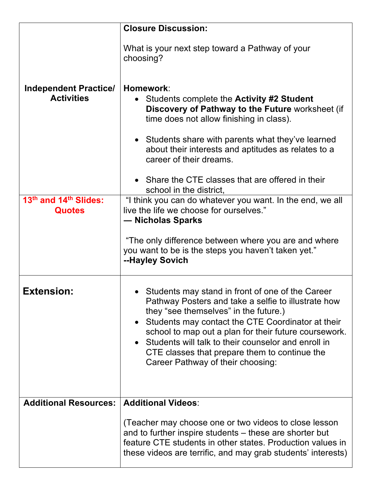|                                                   | <b>Closure Discussion:</b>                                                                                                                                                                                                                                                                                                                                                                                    |
|---------------------------------------------------|---------------------------------------------------------------------------------------------------------------------------------------------------------------------------------------------------------------------------------------------------------------------------------------------------------------------------------------------------------------------------------------------------------------|
|                                                   | What is your next step toward a Pathway of your<br>choosing?                                                                                                                                                                                                                                                                                                                                                  |
| <b>Independent Practice/</b><br><b>Activities</b> | Homework:<br>Students complete the <b>Activity #2 Student</b><br>Discovery of Pathway to the Future worksheet (if<br>time does not allow finishing in class).<br>• Students share with parents what they've learned<br>about their interests and aptitudes as relates to a<br>career of their dreams.<br>• Share the CTE classes that are offered in their                                                    |
| 13 <sup>th</sup> and 14 <sup>th</sup> Slides:     | school in the district,                                                                                                                                                                                                                                                                                                                                                                                       |
| <b>Quotes</b>                                     | "I think you can do whatever you want. In the end, we all<br>live the life we choose for ourselves."<br>— Nicholas Sparks                                                                                                                                                                                                                                                                                     |
|                                                   | "The only difference between where you are and where<br>you want to be is the steps you haven't taken yet."<br>--Hayley Sovich                                                                                                                                                                                                                                                                                |
| <b>Extension:</b>                                 | • Students may stand in front of one of the Career<br>Pathway Posters and take a selfie to illustrate how<br>they "see themselves" in the future.)<br>Students may contact the CTE Coordinator at their<br>school to map out a plan for their future coursework.<br>Students will talk to their counselor and enroll in<br>CTE classes that prepare them to continue the<br>Career Pathway of their choosing: |
| <b>Additional Resources:</b>                      | <b>Additional Videos:</b>                                                                                                                                                                                                                                                                                                                                                                                     |
|                                                   | (Teacher may choose one or two videos to close lesson<br>and to further inspire students – these are shorter but<br>feature CTE students in other states. Production values in<br>these videos are terrific, and may grab students' interests)                                                                                                                                                                |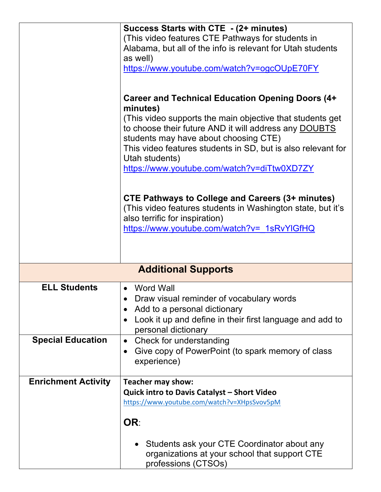|                            | Success Starts with CTE - (2+ minutes)                                                                |
|----------------------------|-------------------------------------------------------------------------------------------------------|
|                            | (This video features CTE Pathways for students in                                                     |
|                            | Alabama, but all of the info is relevant for Utah students                                            |
|                            | as well)                                                                                              |
|                            | https://www.youtube.com/watch?v=ogcOUpE70FY                                                           |
|                            |                                                                                                       |
|                            |                                                                                                       |
|                            | <b>Career and Technical Education Opening Doors (4+</b>                                               |
|                            | minutes)                                                                                              |
|                            | (This video supports the main objective that students get)                                            |
|                            | to choose their future AND it will address any DOUBTS                                                 |
|                            | students may have about choosing CTE)<br>This video features students in SD, but is also relevant for |
|                            | Utah students)                                                                                        |
|                            | https://www.youtube.com/watch?v=diTtw0XD7ZY                                                           |
|                            |                                                                                                       |
|                            |                                                                                                       |
|                            | <b>CTE Pathways to College and Careers (3+ minutes)</b>                                               |
|                            | (This video features students in Washington state, but it's                                           |
|                            | also terrific for inspiration)                                                                        |
|                            | https://www.youtube.com/watch?v= 1sRvYlGfHQ                                                           |
|                            |                                                                                                       |
|                            |                                                                                                       |
|                            |                                                                                                       |
| <b>Additional Supports</b> |                                                                                                       |
| <b>ELL Students</b>        | <b>Word Wall</b>                                                                                      |
|                            | • Draw visual reminder of vocabulary words                                                            |
|                            | Add to a personal dictionary                                                                          |
|                            | Look it up and define in their first language and add to                                              |
|                            | personal dictionary                                                                                   |
| <b>Special Education</b>   | Check for understanding<br>$\bullet$                                                                  |
|                            | Give copy of PowerPoint (to spark memory of class<br>$\bullet$                                        |
|                            | experience)                                                                                           |
|                            |                                                                                                       |
| <b>Enrichment Activity</b> | <b>Teacher may show:</b>                                                                              |
|                            | <b>Quick intro to Davis Catalyst - Short Video</b>                                                    |
|                            | https://www.youtube.com/watch?v=XHpsSvov5pM                                                           |
|                            |                                                                                                       |
|                            | OR:                                                                                                   |
|                            |                                                                                                       |
|                            | Students ask your CTE Coordinator about any                                                           |
|                            | organizations at your school that support CTE                                                         |
|                            | professions (CTSOs)                                                                                   |